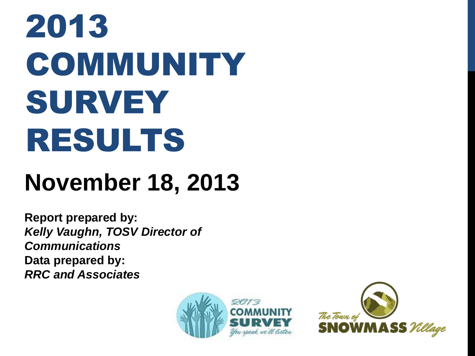# 2013 **COMMUNITY** SURVEY RESULTS

## **November 18, 2013**

**Report prepared by:** *Kelly Vaughn, TOSV Director of Communications* **Data prepared by:** *RRC and Associates*



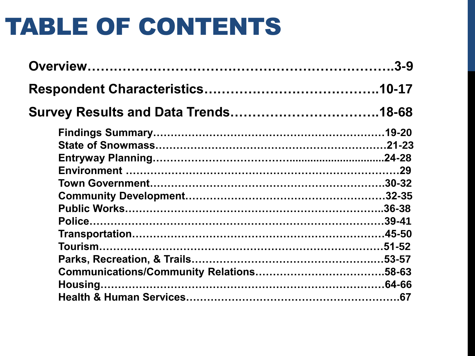## TABLE OF CONTENTS

| <b>Survey Results and Data Trends18-68</b> |  |
|--------------------------------------------|--|
|                                            |  |
|                                            |  |
|                                            |  |
|                                            |  |
|                                            |  |
|                                            |  |
|                                            |  |
|                                            |  |
|                                            |  |
|                                            |  |
|                                            |  |
|                                            |  |
|                                            |  |
|                                            |  |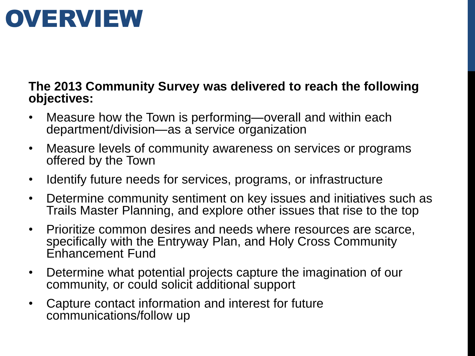## **OVERVIEW**

#### **The 2013 Community Survey was delivered to reach the following objectives:**

- Measure how the Town is performing—overall and within each department/division—as a service organization
- Measure levels of community awareness on services or programs offered by the Town
- Identify future needs for services, programs, or infrastructure
- Determine community sentiment on key issues and initiatives such as Trails Master Planning, and explore other issues that rise to the top
- Prioritize common desires and needs where resources are scarce, specifically with the Entryway Plan, and Holy Cross Community Enhancement Fund
- Determine what potential projects capture the imagination of our community, or could solicit additional support
- Capture contact information and interest for future communications/follow up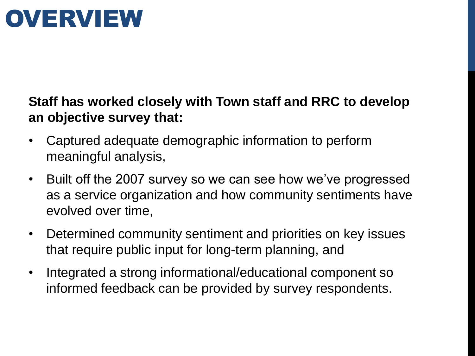## OVERVIEW

### **Staff has worked closely with Town staff and RRC to develop an objective survey that:**

- Captured adequate demographic information to perform meaningful analysis,
- Built off the 2007 survey so we can see how we've progressed as a service organization and how community sentiments have evolved over time,
- Determined community sentiment and priorities on key issues that require public input for long-term planning, and
- Integrated a strong informational/educational component so informed feedback can be provided by survey respondents.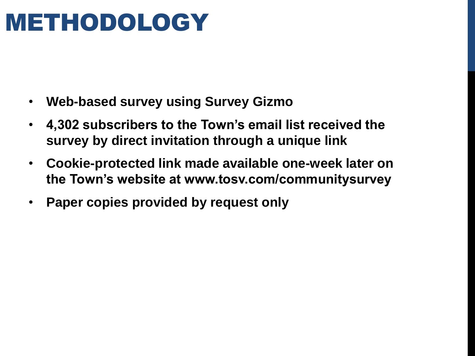## METHODOLOGY

- **Web-based survey using Survey Gizmo**
- **4,302 subscribers to the Town's email list received the survey by direct invitation through a unique link**
- **Cookie-protected link made available one-week later on the Town's website at www.tosv.com/communitysurvey**
- **Paper copies provided by request only**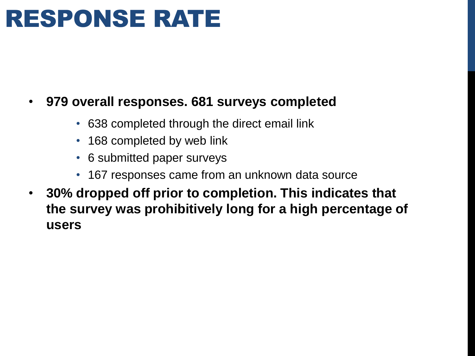## RESPONSE RATE

#### • **979 overall responses. 681 surveys completed**

- 638 completed through the direct email link
- 168 completed by web link
- 6 submitted paper surveys
- 167 responses came from an unknown data source
- **30% dropped off prior to completion. This indicates that the survey was prohibitively long for a high percentage of users**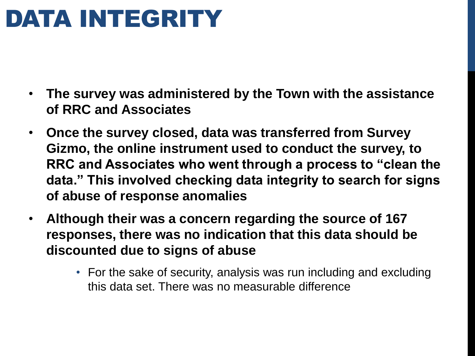## DATA INTEGRITY

- **The survey was administered by the Town with the assistance of RRC and Associates**
- **Once the survey closed, data was transferred from Survey Gizmo, the online instrument used to conduct the survey, to RRC and Associates who went through a process to "clean the data." This involved checking data integrity to search for signs of abuse of response anomalies**
- **Although their was a concern regarding the source of 167 responses, there was no indication that this data should be discounted due to signs of abuse** 
	- For the sake of security, analysis was run including and excluding this data set. There was no measurable difference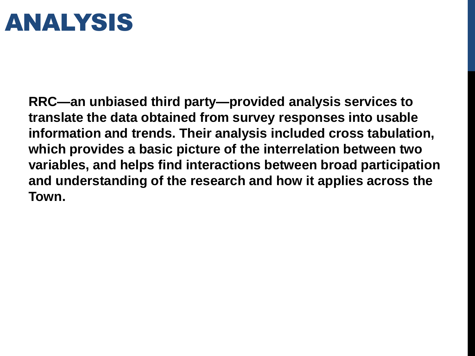## ANALYSIS

**RRC—an unbiased third party—provided analysis services to translate the data obtained from survey responses into usable information and trends. Their analysis included cross tabulation, which provides a basic picture of the interrelation between two variables, and helps find interactions between broad participation and understanding of the research and how it applies across the Town.**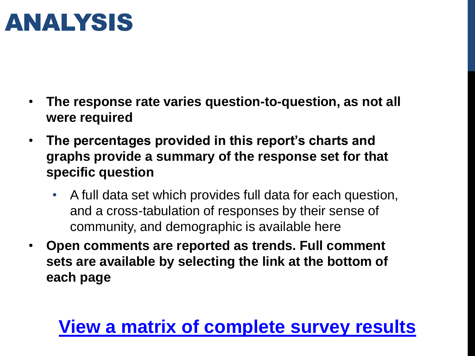## ANALYSIS

- **The response rate varies question-to-question, as not all were required**
- **The percentages provided in this report's charts and graphs provide a summary of the response set for that specific question**
	- A full data set which provides full data for each question, and a cross-tabulation of responses by their sense of community, and demographic is available here
- **Open comments are reported as trends. Full comment sets are available by selecting the link at the bottom of each page**

## **[View a matrix of complete survey results](http://tosv.com/DocumentCenter/View/512)**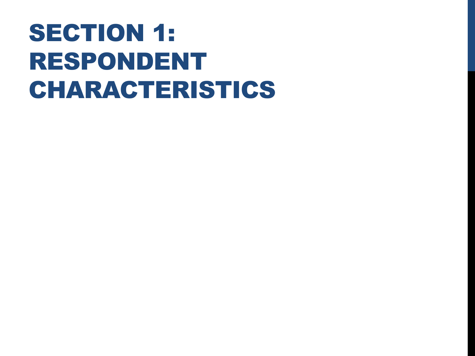## SECTION 1: RESPONDENT CHARACTERISTICS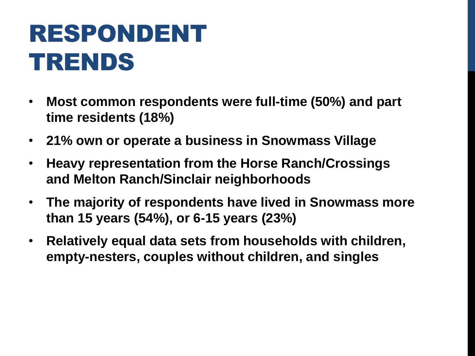## RESPONDENT TRENDS

- **Most common respondents were full-time (50%) and part time residents (18%)**
- **21% own or operate a business in Snowmass Village**
- **Heavy representation from the Horse Ranch/Crossings and Melton Ranch/Sinclair neighborhoods**
- **The majority of respondents have lived in Snowmass more than 15 years (54%), or 6-15 years (23%)**
- **Relatively equal data sets from households with children, empty-nesters, couples without children, and singles**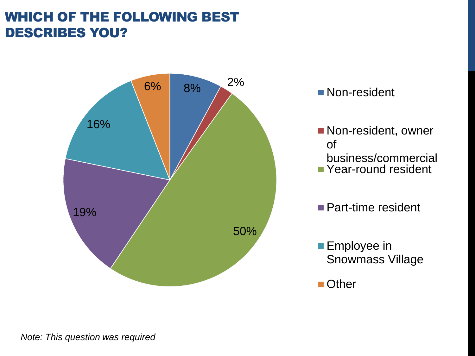### WHICH OF THE FOLLOWING BEST DESCRIBES YOU?



- **Non-resident, owner** of
	- business/commercial
- **P**Year-round resident
- Part-time resident
- **Employee in** Snowmass Village

■ Other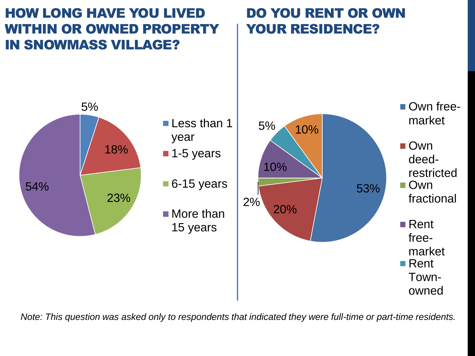### HOW LONG HAVE YOU LIVED WITHIN OR OWNED PROPERTY IN SNOWMASS VILLAGE?

## DO YOU RENT OR OWN YOUR RESIDENCE?



*Note: This question was asked only to respondents that indicated they were full-time or part-time residents.*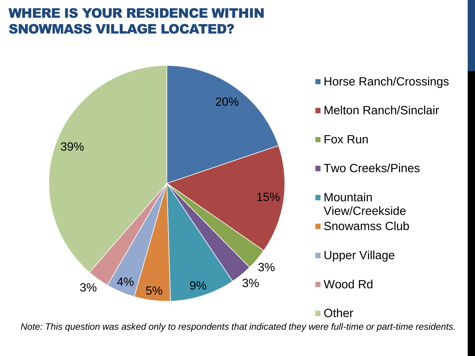## WHERE IS YOUR RESIDENCE WITHI SNOWMASS VILLAGE LOCATED?



- Horse Ranch/Crossings
- Melton Ranch/Sinclair
- Fox Run
- Two Creeks/Pines
- Mountain View/Creekside
- Snowamss Club
- Upper Village
- Wood Rd

■ Other

*Note: This question was asked only to respondents that indicated they were full-time or part-time residents.*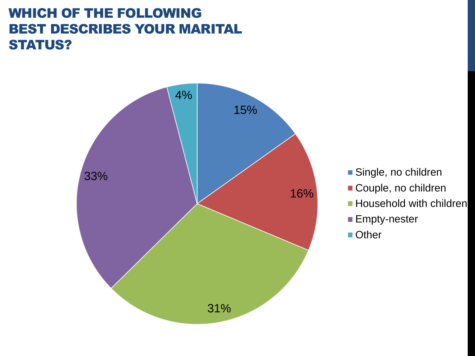#### WHICH OF THE FOLLOWING BEST DESCRIBES YOUR MARITAL STATUS?



- Single, no children
- Couple, no children
- **Household with children**
- Empty-nester
- Other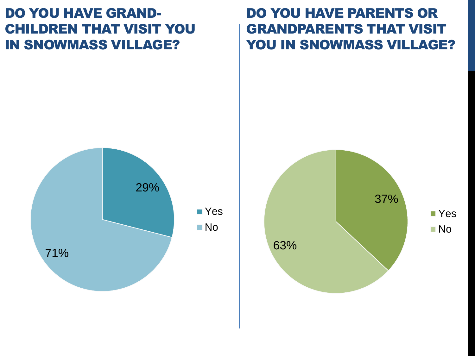#### DO YOU HAVE GRAND-CHILDREN THAT VISIT YOU IN SNOWMASS VILLAGE?

#### DO YOU HAVE PARENTS OR GRANDPARENTS THAT VISIT YOU IN SNOWMASS VILLAGE?



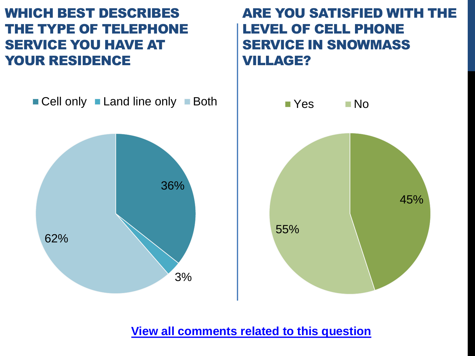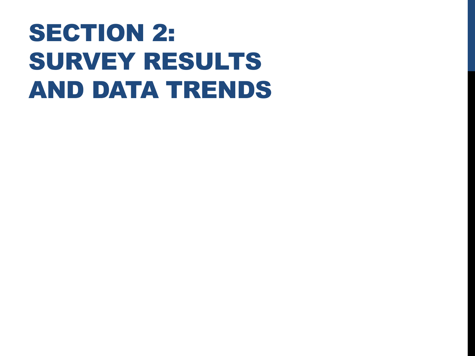## SECTION 2: SURVEY RESULTS AND DATA TRENDS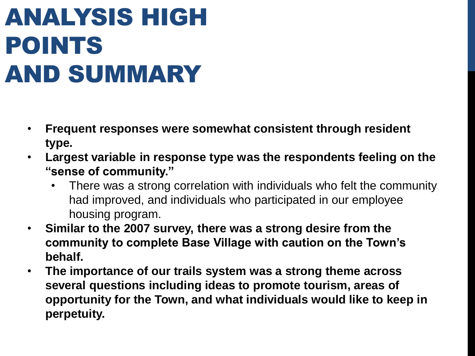## ANALYSIS HIGH POINTS AND SUMMARY

- **Frequent responses were somewhat consistent through resident type.**
- **Largest variable in response type was the respondents feeling on the "sense of community."** 
	- There was a strong correlation with individuals who felt the community had improved, and individuals who participated in our employee housing program.
- **Similar to the 2007 survey, there was a strong desire from the community to complete Base Village with caution on the Town's behalf.**
- **The importance of our trails system was a strong theme across several questions including ideas to promote tourism, areas of opportunity for the Town, and what individuals would like to keep in perpetuity.**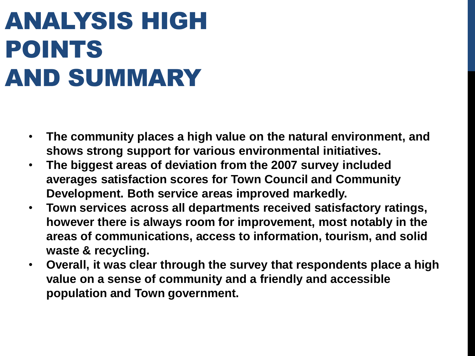## ANALYSIS HIGH POINTS AND SUMMARY

- **The community places a high value on the natural environment, and shows strong support for various environmental initiatives.**
- **The biggest areas of deviation from the 2007 survey included averages satisfaction scores for Town Council and Community Development. Both service areas improved markedly.**
- **Town services across all departments received satisfactory ratings, however there is always room for improvement, most notably in the areas of communications, access to information, tourism, and solid waste & recycling.**
- **Overall, it was clear through the survey that respondents place a high value on a sense of community and a friendly and accessible population and Town government.**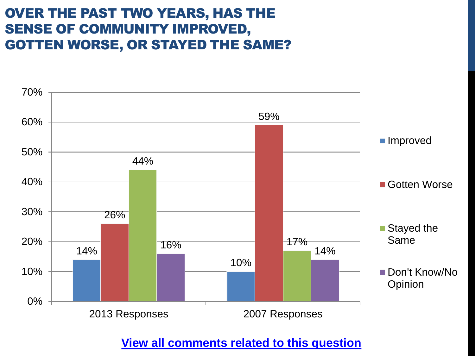### OVER THE PAST TWO YEARS, HAS THE SENSE OF COMMUNITY IMPROVED, GOTTEN WORSE, OR STAYED THE SAME?

![](_page_20_Figure_1.jpeg)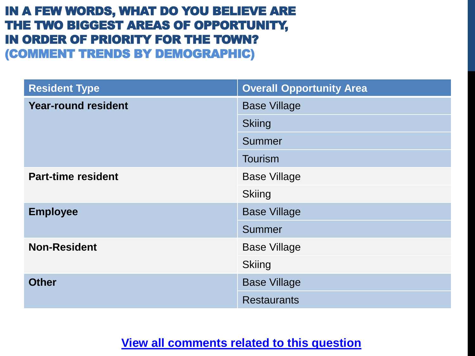#### IN A FEW WORDS, WHAT DO YOU BELIEVE ARE THE TWO BIGGEST AREAS OF OPPORTUNITY, IN ORDER OF PRIORITY FOR THE TOWN? (COMMENT TRENDS BY DEMOGRAPHIC)

| <b>Resident Type</b>       | <b>Overall Opportunity Area</b> |
|----------------------------|---------------------------------|
| <b>Year-round resident</b> | <b>Base Village</b>             |
|                            | <b>Skiing</b>                   |
|                            | Summer                          |
|                            | <b>Tourism</b>                  |
| <b>Part-time resident</b>  | <b>Base Village</b>             |
|                            | <b>Skiing</b>                   |
| <b>Employee</b>            | <b>Base Village</b>             |
|                            | Summer                          |
| <b>Non-Resident</b>        | <b>Base Village</b>             |
|                            | <b>Skiing</b>                   |
| <b>Other</b>               | <b>Base Village</b>             |
|                            | <b>Restaurants</b>              |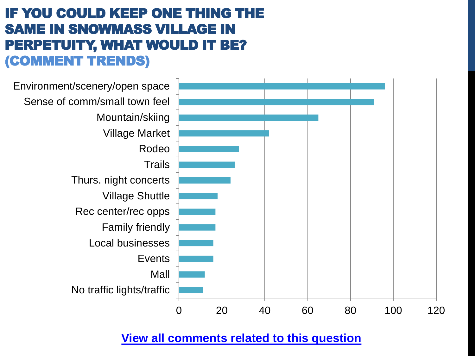## IF YOU COULD KEEP ONE THING THE SAME IN SNOWMASS VILLAGE IN PERPETUITY, WHAT WOULD IT BE? (COMMENT TRENDS)

![](_page_22_Figure_1.jpeg)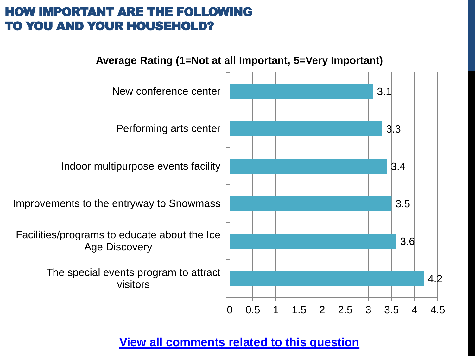#### HOW IMPORTANT ARE THE FOLLOWING TO YOU AND YOUR HOUSEHOLD?

![](_page_23_Figure_1.jpeg)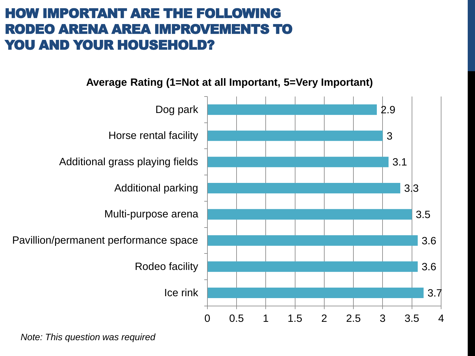### HOW IMPORTANT ARE THE FOLLOWING RODEO ARENA AREA IMPROVEMENTS TO YOU AND YOUR HOUSEHOLD?

![](_page_24_Figure_1.jpeg)

**Average Rating (1=Not at all Important, 5=Very Important)**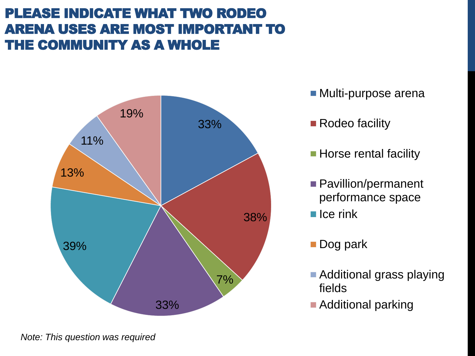## PLEASE INDICATE WHAT TWO RODEO ARENA USES ARE MOST IMPORTANT TO THE COMMUNITY AS A WHOLE

![](_page_25_Figure_1.jpeg)

- Multi-purpose arena
- Rodeo facility
- Horse rental facility
- **Pavillion/permanent** performance space
- $\blacksquare$  Ice rink
- Dog park
- Additional grass playing fields
- **Additional parking**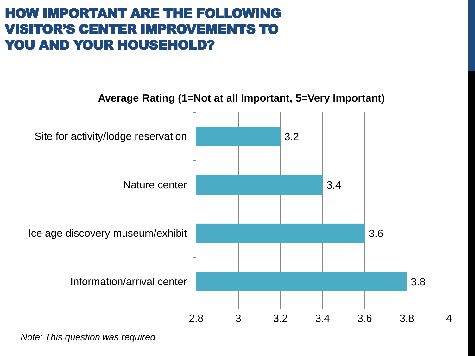#### HOW IMPORTANT ARE THE FOLLOWING VISITOR'S CENTER IMPROVEMENTS TO YOU AND YOUR HOUSEHOLD?

![](_page_26_Figure_1.jpeg)

**Average Rating (1=Not at all Important, 5=Very Important)**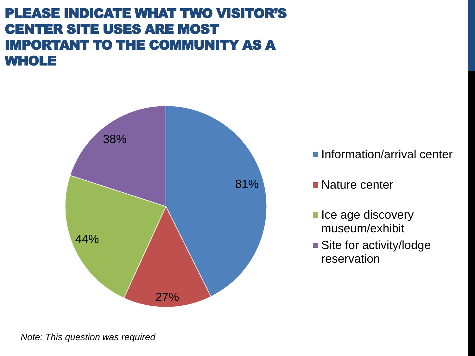#### PLEASE INDICATE WHAT TWO VISITOR'S CENTER SITE USES ARE MOST IMPORTANT TO THE COMMUNITY AS A WHOLE

![](_page_27_Figure_1.jpeg)

- **Information/arrival center**
- **Nature center**
- lce age discovery museum/exhibit
- Site for activity/lodge reservation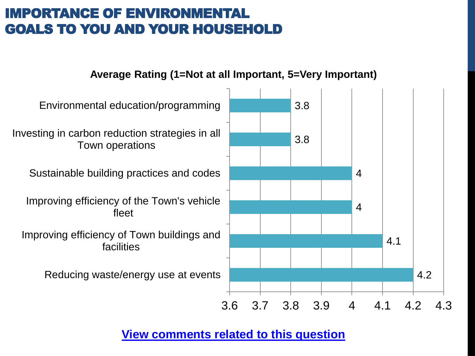## IMPORTANCE OF ENVIRONMENTAL GOALS TO YOU AND YOUR HOUSEHOLD

#### **Average Rating (1=Not at all Important, 5=Very Important)**

![](_page_28_Figure_2.jpeg)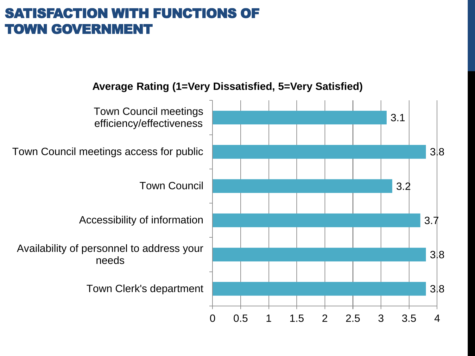## SATISFACTION WITH FUNCTIONS OF TOWN GOVERNMENT

![](_page_29_Figure_1.jpeg)

**Average Rating (1=Very Dissatisfied, 5=Very Satisfied)**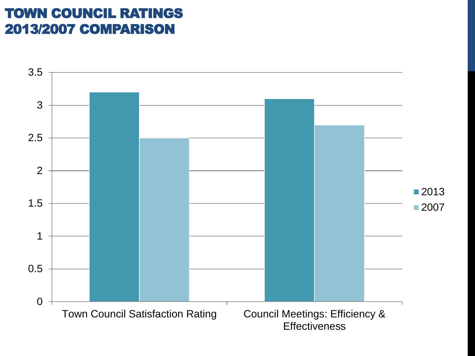### TOWN COUNCIL RATINGS 2013/2007 COMPARISON

![](_page_30_Figure_1.jpeg)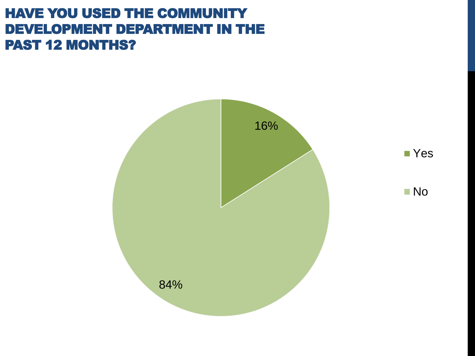#### HAVE YOU USED THE COMMUNITY DEVELOPMENT DEPARTMENT IN THE PAST 12 MONTHS?

![](_page_31_Figure_1.jpeg)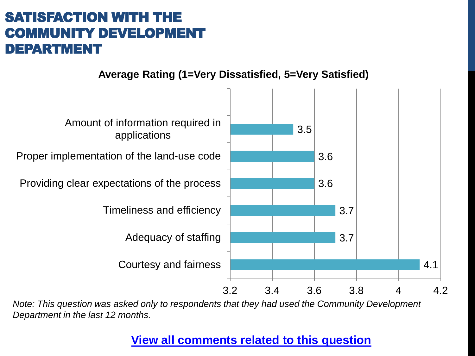## SATISFACTION WITH THE COMMUNITY DEVELOPMENT DEPARTMENT

![](_page_32_Figure_1.jpeg)

![](_page_32_Figure_2.jpeg)

*Note: This question was asked only to respondents that they had used the Community Development Department in the last 12 months.*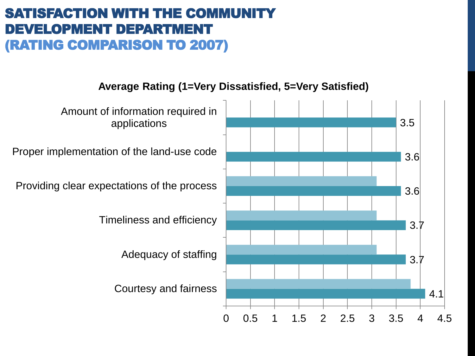### SATISFACTION WITH THE COMMUNITY DEVELOPMENT DEPARTMENT (RATING COMPARISON TO 2007)

**Average Rating (1=Very Dissatisfied, 5=Very Satisfied)**

![](_page_33_Figure_2.jpeg)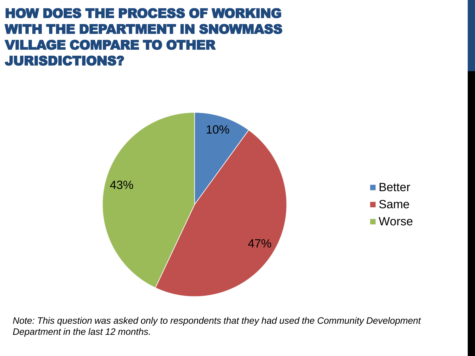## HOW DOES THE PROCESS OF WORKING WITH THE DEPARTMENT IN SNOWMASS VILLAGE COMPARE TO OTHER JURISDICTIONS?

![](_page_34_Figure_1.jpeg)

*Note: This question was asked only to respondents that they had used the Community Development Department in the last 12 months.*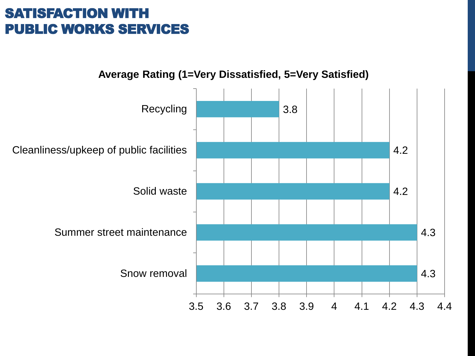### SATISFACTION WITH PUBLIC WORKS SERVICES

![](_page_35_Figure_1.jpeg)

![](_page_35_Figure_2.jpeg)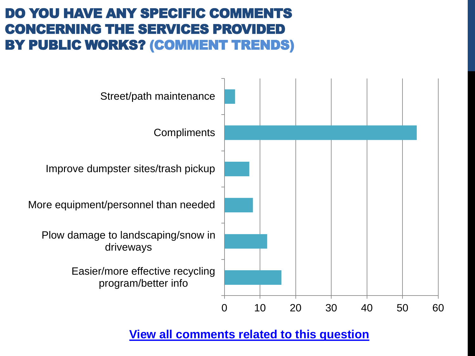### DO YOU HAVE ANY SPECIFIC COMMENTS CONCERNING THE SERVICES PROVIDED BY PUBLIC WORKS? (COMMENT TRENDS)

![](_page_36_Figure_1.jpeg)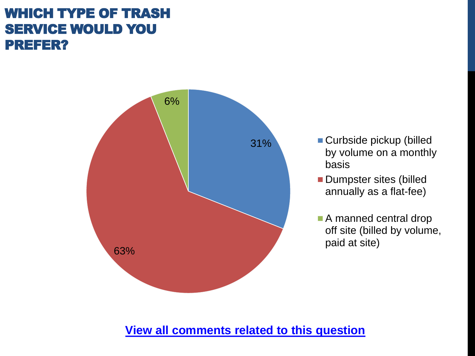## WHICH TYPE OF TRASH SERVICE WOULD YOU PREFER?

![](_page_37_Figure_1.jpeg)

- **Curbside pickup (billed** by volume on a monthly basis
- **Dumpster sites (billed** annually as a flat-fee)
- A manned central drop off site (billed by volume, paid at site)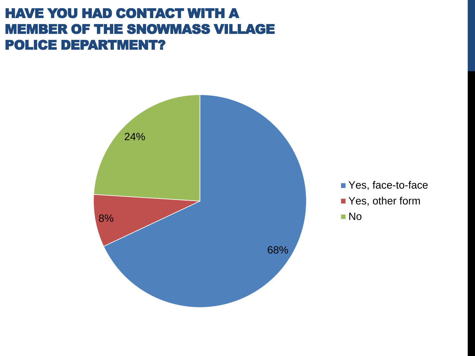#### HAVE YOU HAD CONTACT WITH A MEMBER OF THE SNOWMASS VILLAGE POLICE DEPARTMENT?

![](_page_38_Figure_1.jpeg)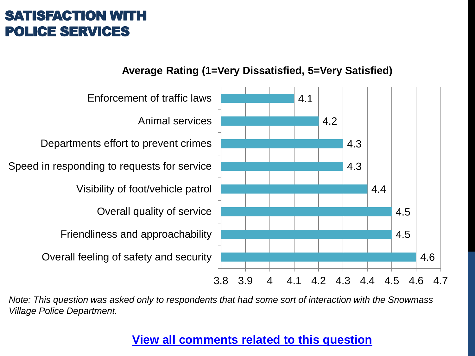#### **SATISFACTION WIT** POLICE SERVICES

![](_page_39_Figure_1.jpeg)

![](_page_39_Figure_2.jpeg)

*Note: This question was asked only to respondents that had some sort of interaction with the Snowmass Village Police Department.*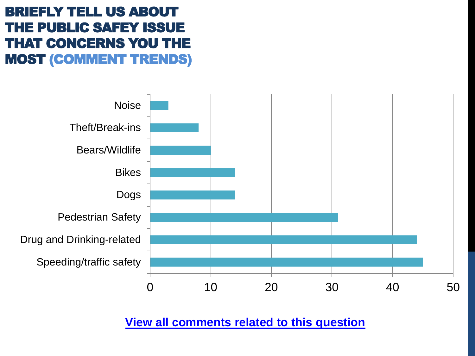## BRIEFLY TELL US ABOUT THE PUBLIC SAFEY ISSUE THAT CONCERNS YOU THE MOST (COMMENT TRENDS)

![](_page_40_Figure_1.jpeg)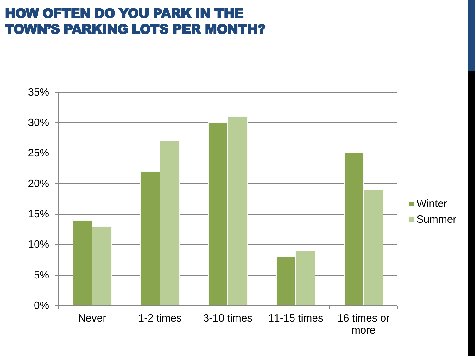### HOW OFTEN DO YOU PARK IN THE TOWN'S PARKING LOTS PER MONTH?

![](_page_41_Figure_1.jpeg)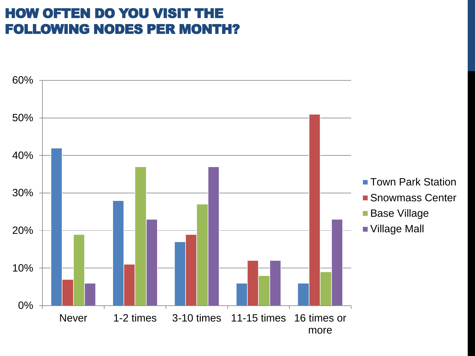### HOW OFTEN DO YOU VISIT THE FOLLOWING NODES PER MONTH?

![](_page_42_Figure_1.jpeg)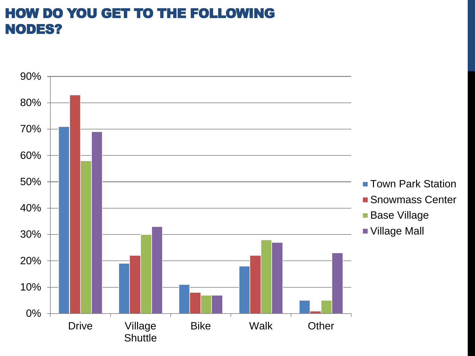### HOW DO YOU GET TO THE FOLLOWING NODES?

![](_page_43_Figure_1.jpeg)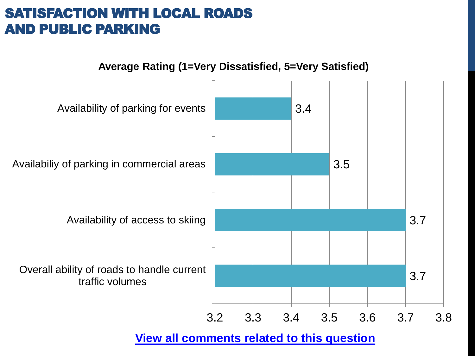#### SATISFACTION WITH LOCAL ROADS AND PUBLIC PARKING

![](_page_44_Figure_1.jpeg)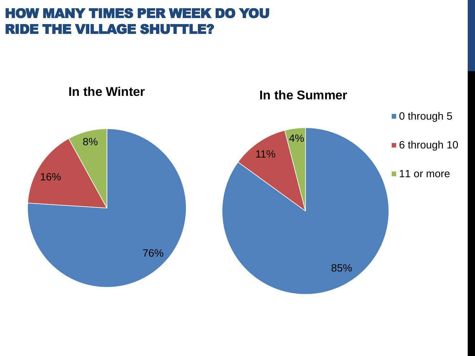#### HOW MANY TIMES PER WEEK DO YOU RIDE THE VILLAGE SHUTTLE?

![](_page_45_Figure_1.jpeg)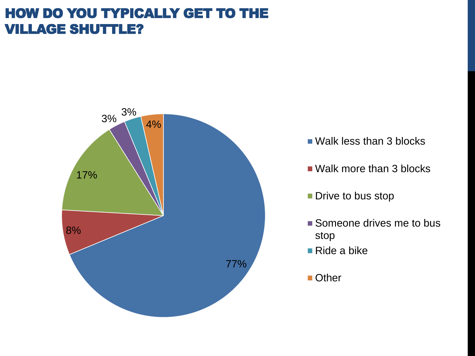### HOW DO YOU TYPICALLY GET TO THE VILLAGE SHUTTLE?

![](_page_46_Figure_1.jpeg)

- Walk less than 3 blocks
- Walk more than 3 blocks
- **Drive to bus stop**
- Someone drives me to bus stop
- Ride a bike
- Other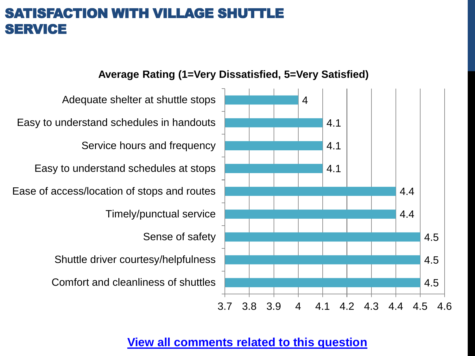#### SATISFACTION WITH VILLAGE SHUTTI **SERVICE**

![](_page_47_Figure_1.jpeg)

#### **Average Rating (1=Very Dissatisfied, 5=Very Satisfied)**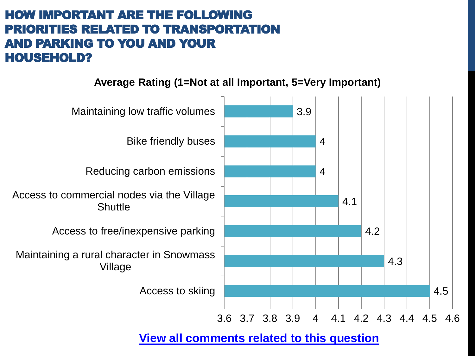#### HOW IMPORTANT ARE THE FOLLOWING PRIORITIES RELATED TO TRANSPORTATION AND PARKING TO YOU AND YOUR HOUSEHOLD?

#### **Average Rating (1=Not at all Important, 5=Very Important)**

![](_page_48_Figure_2.jpeg)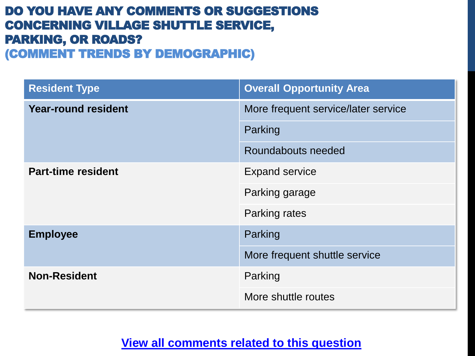#### DO YOU HAVE ANY COMMENTS OR SUGGESTIONS CONCERNING VILLAGE SHUTTLE SERVICE, PARKING, OR ROADS? (COMMENT TRENDS BY DEMOGRAPHIC)

| <b>Resident Type</b>       | <b>Overall Opportunity Area</b>     |
|----------------------------|-------------------------------------|
| <b>Year-round resident</b> | More frequent service/later service |
|                            | Parking                             |
|                            | Roundabouts needed                  |
| <b>Part-time resident</b>  | <b>Expand service</b>               |
|                            | Parking garage                      |
|                            | Parking rates                       |
| <b>Employee</b>            | Parking                             |
|                            | More frequent shuttle service       |
| <b>Non-Resident</b>        | Parking                             |
|                            | More shuttle routes                 |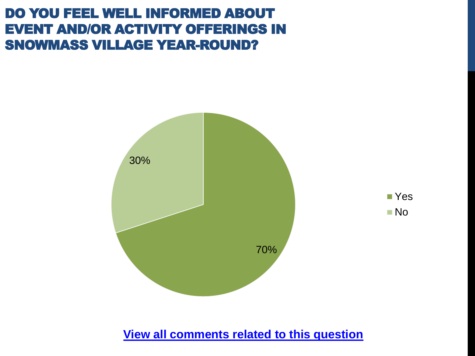#### DO YOU FEEL WELL INFORMED ABOUT EVENT AND/OR ACTIVITY OFFERINGS IN SNOWMASS VILLAGE YEAR-ROUND?

![](_page_50_Figure_1.jpeg)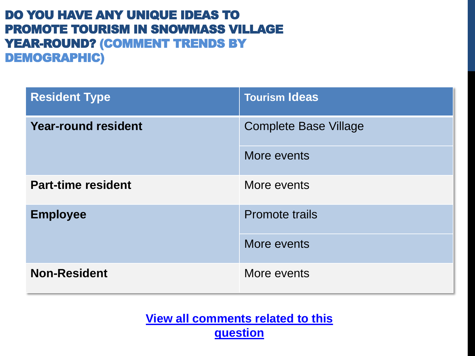#### DO YOU HAVE ANY UNIQUE IDEAS TO PROMOTE TOURISM IN SNOWMASS VILLAGE YEAR-ROUND? (COMMENT TRENDS BY DEMOGRAPHIC)

| <b>Resident Type</b>       | <b>Tourism Ideas</b>         |
|----------------------------|------------------------------|
| <b>Year-round resident</b> | <b>Complete Base Village</b> |
|                            | More events                  |
| <b>Part-time resident</b>  | More events                  |
| <b>Employee</b>            | <b>Promote trails</b>        |
|                            | More events                  |
| <b>Non-Resident</b>        | More events                  |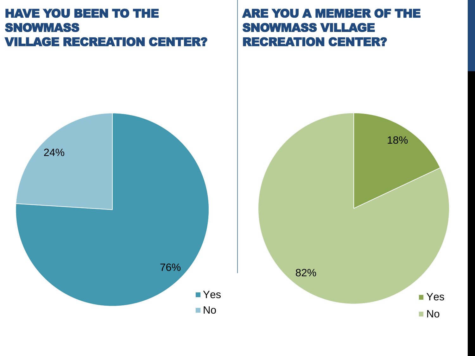#### HAVE YOU BEEN TO THE **SNOWMASS** VILLAGE RECREATION CENTER?

#### ARE YOU A MEMBER OF THE SNOWMASS VILLAGE RECREATION CENTER?

![](_page_52_Figure_2.jpeg)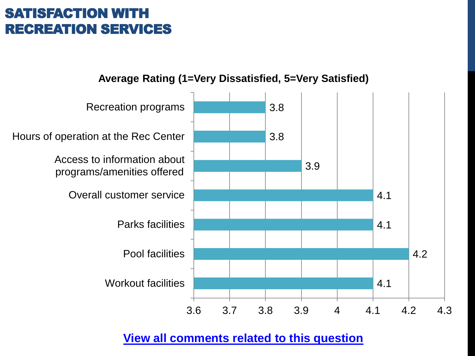### SATISFACTION WITH RECREATION SERVICES

![](_page_53_Figure_1.jpeg)

![](_page_53_Figure_2.jpeg)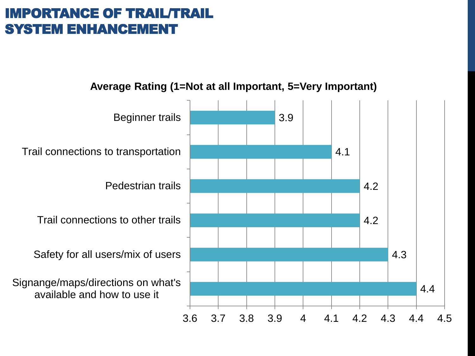## IMPORTANCE OF TRAIL/TRAIL SYSTEM ENHANCEMENT

![](_page_54_Figure_1.jpeg)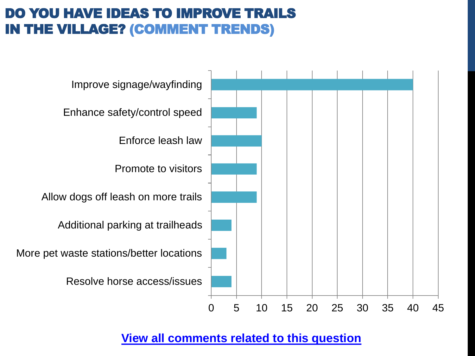## DO YOU HAVE IDEAS TO IMPROVE TRAILS IN THE VILLAGE? (COMMENT TRENDS)

![](_page_55_Figure_1.jpeg)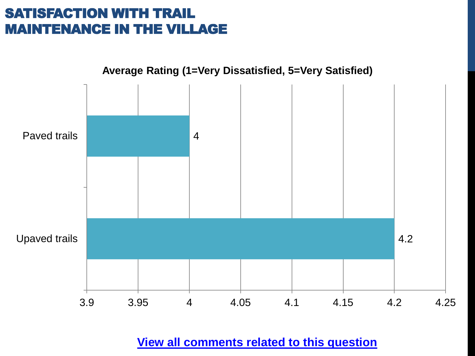## SATISFACTION WITH TRAIL MAINTENANCE IN THE VILLAGE

![](_page_56_Figure_1.jpeg)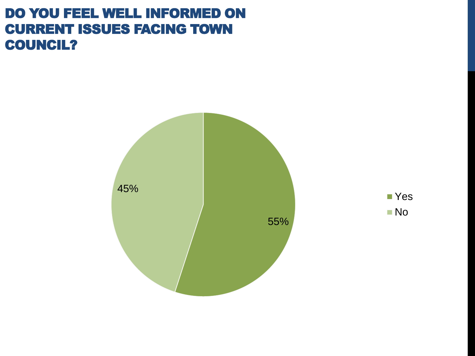#### DO YOU FEEL WELL INFORMED ON CURRENT ISSUES FACING TOWN COUNCIL?

![](_page_57_Figure_1.jpeg)

![](_page_57_Figure_2.jpeg)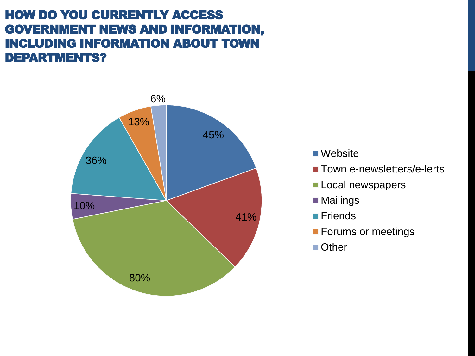#### HOW DO YOU CURRENTLY ACCESS GOVERNMENT NEWS AND INFORMATION, INCLUDING INFORMATION ABOUT TOWN DEPARTMENTS?

![](_page_58_Figure_1.jpeg)

- Website
- **Town e-newsletters/e-lerts**
- Local newspapers
- Mailings
- **■**Friends
- **Forums or meetings**
- Other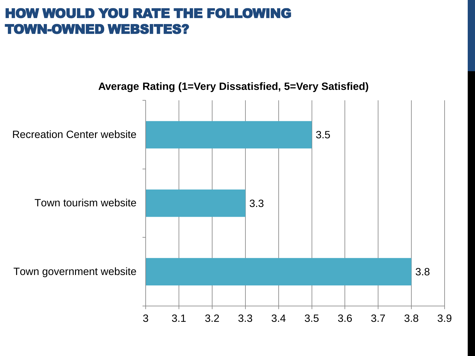#### HOW WOULD YOU RATE THE FOLLOWING TOWN-OWNED WEBSITES?

![](_page_59_Figure_1.jpeg)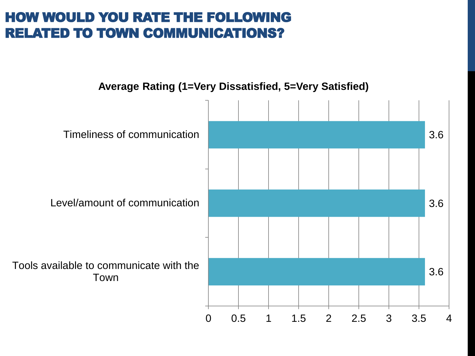### HOW WOULD YOU RATE THE FOLLOWING RELATED TO TOWN COMMUNICATIONS?

![](_page_60_Figure_1.jpeg)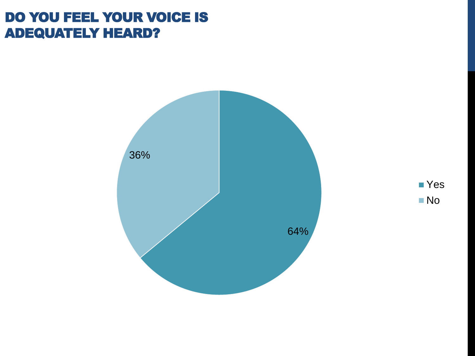#### DO YOU FEEL YOUR VOICE IS ADEQUATELY HEARD?

![](_page_61_Figure_1.jpeg)

![](_page_61_Figure_2.jpeg)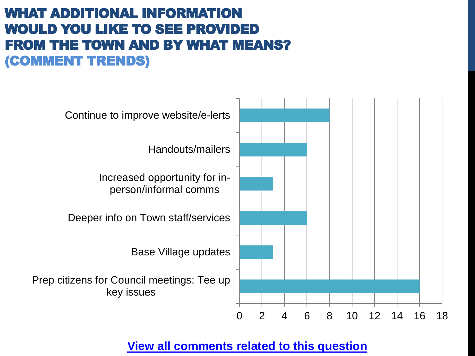## WHAT ADDITIONAL INFORMATION WOULD YOU LIKE TO SEE PROVIDED FROM THE TOWN AND BY WHAT MEANS? (COMMENT TRENDS)

![](_page_62_Figure_1.jpeg)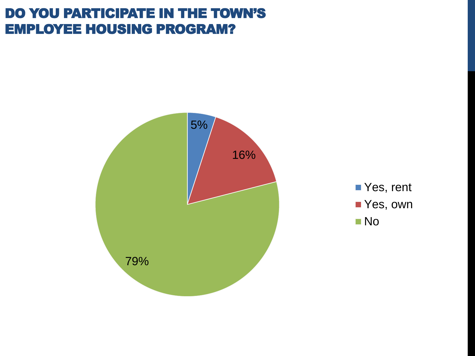#### DO YOU PARTICIPATE IN THE TOWN'S EMPLOYEE HOUSING PROGRAM?

![](_page_63_Figure_1.jpeg)

![](_page_63_Figure_2.jpeg)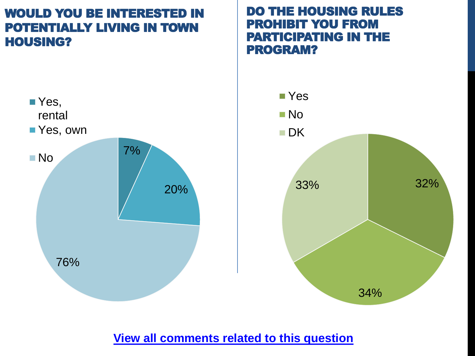#### WOULD YOU BE INTERESTED IN POTENTIALLY LIVING IN TOWN HOUSING?

![](_page_64_Figure_1.jpeg)

#### DO THE HOUSING RULES PROHIBIT YOU FROM PARTICIPATING IN THE PROGRAM?

![](_page_64_Figure_3.jpeg)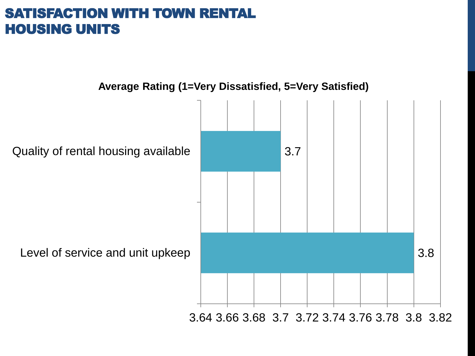#### SATISFACTION WITH TOWN RENTAL HOUSING UNITS

![](_page_65_Figure_1.jpeg)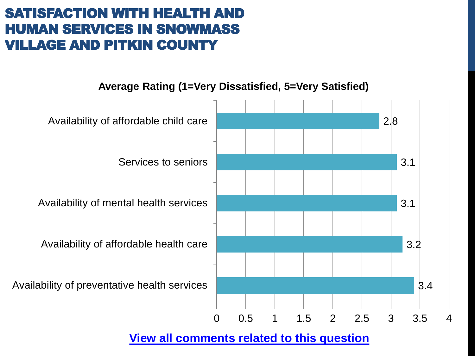## SATISFACTION WITH HEALTH AND HUMAN SERVICES IN SNOWMASS **ILLAGE AND PITKIN COUNTY**

![](_page_66_Figure_1.jpeg)

![](_page_66_Figure_2.jpeg)